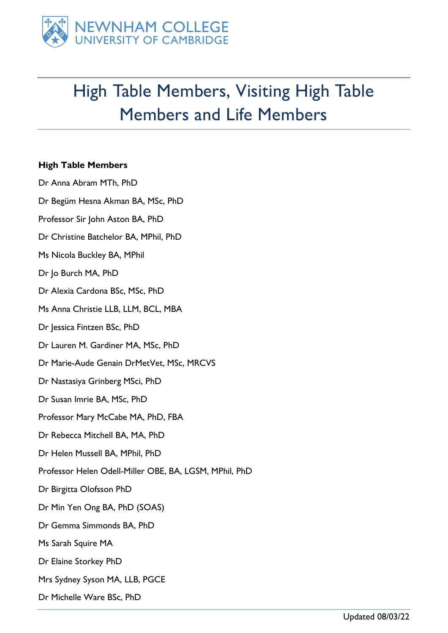

## High Table Members, Visiting High Table Members and Life Members

## **High Table Members**

Dr Anna Abram MTh, PhD Dr Begüm Hesna Akman BA, MSc, PhD Professor Sir John Aston BA, PhD Dr Christine Batchelor BA, MPhil, PhD Ms Nicola Buckley BA, MPhil Dr Jo Burch MA, PhD Dr Alexia Cardona BSc, MSc, PhD Ms Anna Christie LLB, LLM, BCL, MBA Dr Jessica Fintzen BSc, PhD Dr Lauren M. Gardiner MA, MSc, PhD Dr Marie-Aude Genain DrMetVet, MSc, MRCVS Dr Nastasiya Grinberg MSci, PhD Dr Susan Imrie BA, MSc, PhD Professor Mary McCabe MA, PhD, FBA Dr Rebecca Mitchell BA, MA, PhD Dr Helen Mussell BA, MPhil, PhD Professor Helen Odell-Miller OBE, BA, LGSM, MPhil, PhD Dr Birgitta Olofsson PhD Dr Min Yen Ong BA, PhD (SOAS) Dr Gemma Simmonds BA, PhD Ms Sarah Squire MA Dr Elaine Storkey PhD Mrs Sydney Syson MA, LLB, PGCE Dr Michelle Ware BSc, PhD